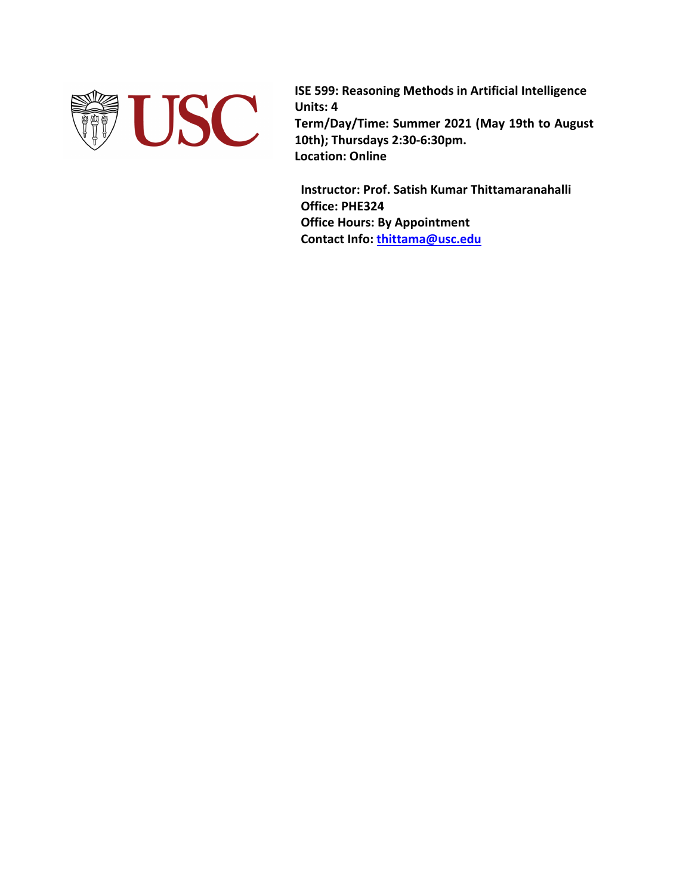

**ISE 599: Reasoning Methods in Artificial Intelligence Units: 4 Term/Day/Time: Summer 2021 (May 19th to August 10th); Thursdays 2:30-6:30pm. Location: Online**

**Instructor: Prof. Satish Kumar Thittamaranahalli Office: PHE324 Office Hours: By Appointment Contact Info: thittama@usc.edu**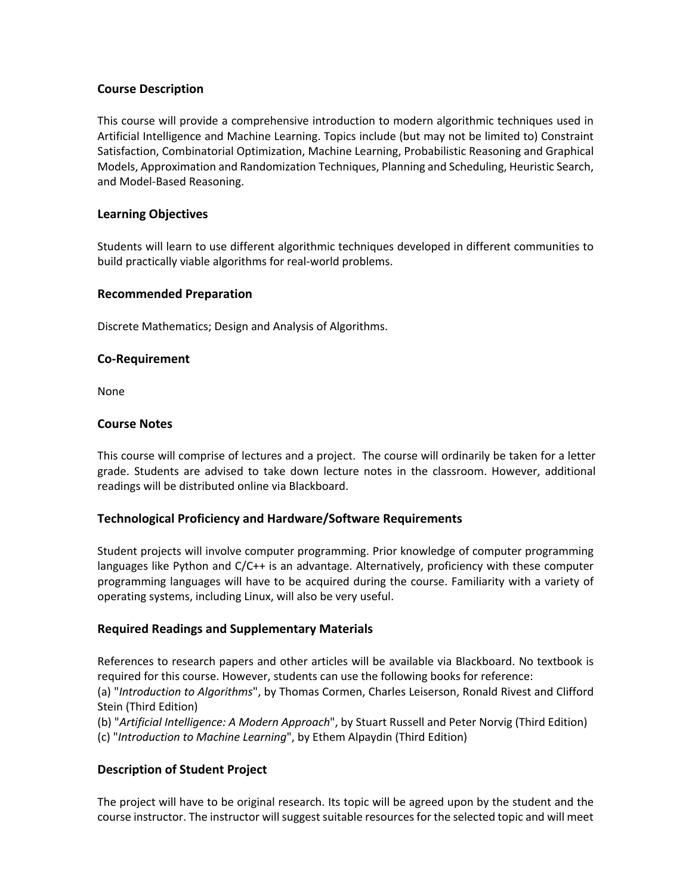#### **Course Description**

This course will provide a comprehensive introduction to modern algorithmic techniques used in Artificial Intelligence and Machine Learning. Topics include (but may not be limited to) Constraint Satisfaction, Combinatorial Optimization, Machine Learning, Probabilistic Reasoning and Graphical Models, Approximation and Randomization Techniques, Planning and Scheduling, Heuristic Search, and Model-Based Reasoning.

#### **Learning Objectives**

Students will learn to use different algorithmic techniques developed in different communities to build practically viable algorithms for real-world problems.

#### **Recommended Preparation**

Discrete Mathematics; Design and Analysis of Algorithms.

#### **Co-Requirement**

None

#### **Course Notes**

This course will comprise of lectures and a project. The course will ordinarily be taken for a letter grade. Students are advised to take down lecture notes in the classroom. However, additional readings will be distributed online via Blackboard.

#### **Technological Proficiency and Hardware/Software Requirements**

Student projects will involve computer programming. Prior knowledge of computer programming languages like Python and C/C++ is an advantage. Alternatively, proficiency with these computer programming languages will have to be acquired during the course. Familiarity with a variety of operating systems, including Linux, will also be very useful.

### **Required Readings and Supplementary Materials**

References to research papers and other articles will be available via Blackboard. No textbook is required for this course. However, students can use the following books for reference:

(a) "*Introduction to Algorithms*", by Thomas Cormen, Charles Leiserson, Ronald Rivest and Clifford Stein (Third Edition)

(b) "*Artificial Intelligence: A Modern Approach*", by Stuart Russell and Peter Norvig (Third Edition) (c) "*Introduction to Machine Learning*", by Ethem Alpaydin (Third Edition)

### **Description of Student Project**

The project will have to be original research. Its topic will be agreed upon by the student and the course instructor. The instructor will suggest suitable resources for the selected topic and will meet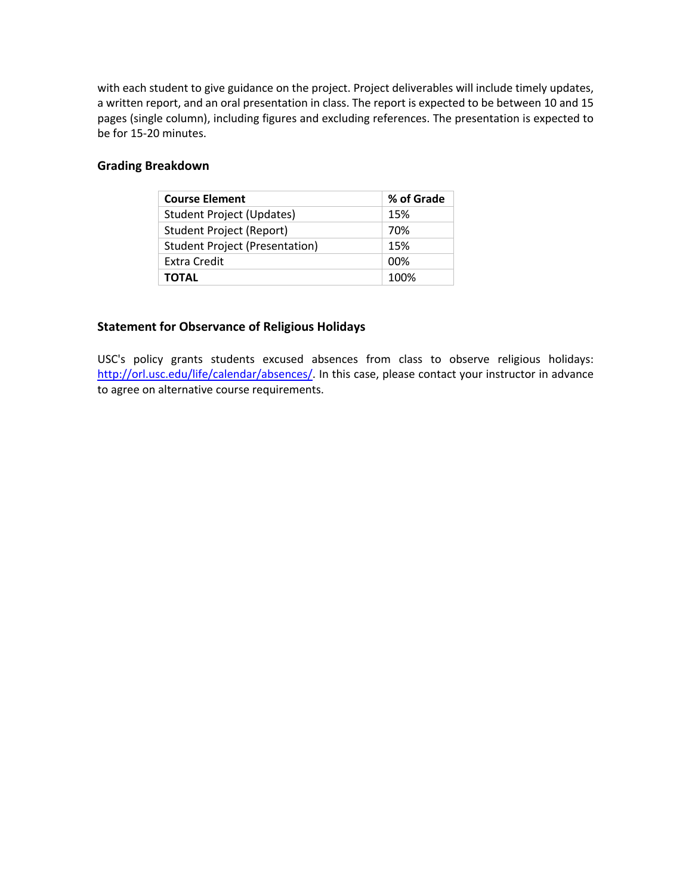with each student to give guidance on the project. Project deliverables will include timely updates, a written report, and an oral presentation in class. The report is expected to be between 10 and 15 pages (single column), including figures and excluding references. The presentation is expected to be for 15-20 minutes.

### **Grading Breakdown**

| <b>Course Element</b>                 | % of Grade |
|---------------------------------------|------------|
| <b>Student Project (Updates)</b>      | 15%        |
| <b>Student Project (Report)</b>       | 70%        |
| <b>Student Project (Presentation)</b> | 15%        |
| Extra Credit                          | 00%        |
| <b>TOTAL</b>                          | 100%       |

## **Statement for Observance of Religious Holidays**

USC's policy grants students excused absences from class to observe religious holidays: http://orl.usc.edu/life/calendar/absences/. In this case, please contact your instructor in advance to agree on alternative course requirements.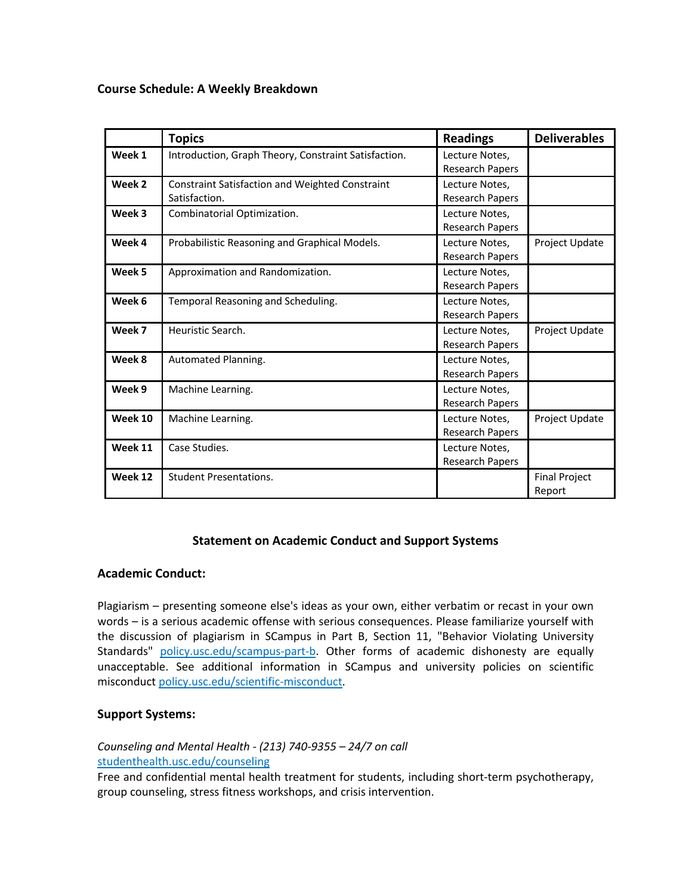#### **Course Schedule: A Weekly Breakdown**

|         | <b>Topics</b>                                                           | <b>Readings</b>                          | <b>Deliverables</b>            |
|---------|-------------------------------------------------------------------------|------------------------------------------|--------------------------------|
| Week 1  | Introduction, Graph Theory, Constraint Satisfaction.                    | Lecture Notes,<br>Research Papers        |                                |
| Week 2  | <b>Constraint Satisfaction and Weighted Constraint</b><br>Satisfaction. | Lecture Notes,<br><b>Research Papers</b> |                                |
| Week 3  | Combinatorial Optimization.                                             | Lecture Notes,<br><b>Research Papers</b> |                                |
| Week 4  | Probabilistic Reasoning and Graphical Models.                           | Lecture Notes,<br>Research Papers        | Project Update                 |
| Week 5  | Approximation and Randomization.                                        | Lecture Notes,<br>Research Papers        |                                |
| Week 6  | Temporal Reasoning and Scheduling.                                      | Lecture Notes,<br><b>Research Papers</b> |                                |
| Week 7  | Heuristic Search.                                                       | Lecture Notes,<br>Research Papers        | Project Update                 |
| Week 8  | Automated Planning.                                                     | Lecture Notes,<br><b>Research Papers</b> |                                |
| Week 9  | Machine Learning.                                                       | Lecture Notes,<br><b>Research Papers</b> |                                |
| Week 10 | Machine Learning.                                                       | Lecture Notes,<br>Research Papers        | Project Update                 |
| Week 11 | Case Studies.                                                           | Lecture Notes,<br>Research Papers        |                                |
| Week 12 | <b>Student Presentations.</b>                                           |                                          | <b>Final Project</b><br>Report |

### **Statement on Academic Conduct and Support Systems**

### **Academic Conduct:**

Plagiarism – presenting someone else's ideas as your own, either verbatim or recast in your own words – is a serious academic offense with serious consequences. Please familiarize yourself with the discussion of plagiarism in SCampus in Part B, Section 11, "Behavior Violating University Standards" policy.usc.edu/scampus-part-b. Other forms of academic dishonesty are equally unacceptable. See additional information in SCampus and university policies on scientific misconduct policy.usc.edu/scientific-misconduct.

### **Support Systems:**

*Counseling and Mental Health - (213) 740-9355 – 24/7 on call* studenthealth.usc.edu/counseling

Free and confidential mental health treatment for students, including short-term psychotherapy, group counseling, stress fitness workshops, and crisis intervention.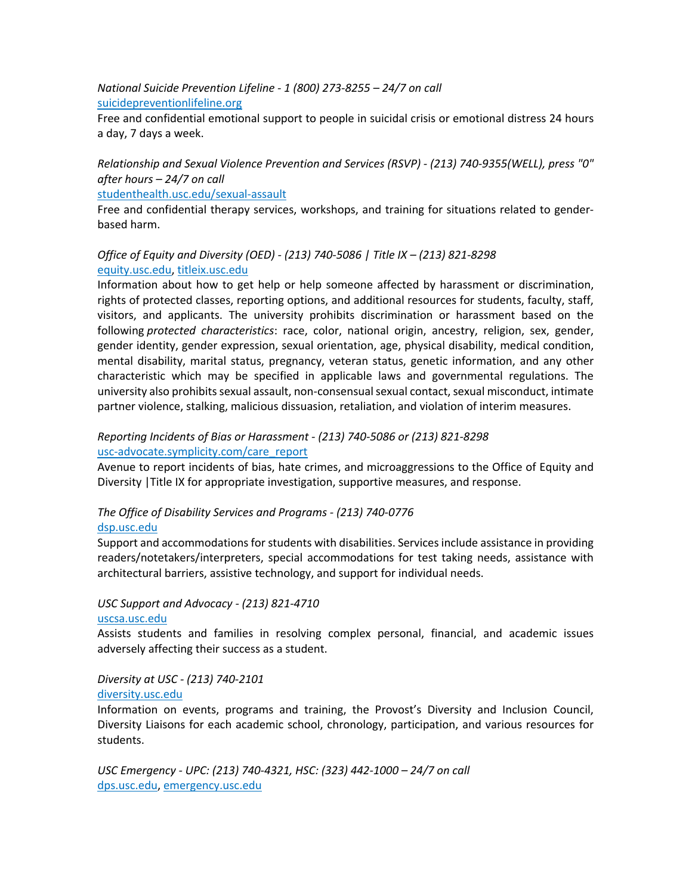*National Suicide Prevention Lifeline - 1 (800) 273-8255 – 24/7 on call* suicidepreventionlifeline.org

Free and confidential emotional support to people in suicidal crisis or emotional distress 24 hours a day, 7 days a week.

*Relationship and Sexual Violence Prevention and Services (RSVP) - (213) 740-9355(WELL), press "0" after hours – 24/7 on call*

studenthealth.usc.edu/sexual-assault

Free and confidential therapy services, workshops, and training for situations related to genderbased harm.

### *Office of Equity and Diversity (OED) - (213) 740-5086 | Title IX – (213) 821-8298* equity.usc.edu, titleix.usc.edu

Information about how to get help or help someone affected by harassment or discrimination, rights of protected classes, reporting options, and additional resources for students, faculty, staff, visitors, and applicants. The university prohibits discrimination or harassment based on the following *protected characteristics*: race, color, national origin, ancestry, religion, sex, gender, gender identity, gender expression, sexual orientation, age, physical disability, medical condition, mental disability, marital status, pregnancy, veteran status, genetic information, and any other characteristic which may be specified in applicable laws and governmental regulations. The university also prohibits sexual assault, non-consensual sexual contact, sexual misconduct, intimate partner violence, stalking, malicious dissuasion, retaliation, and violation of interim measures.

### *Reporting Incidents of Bias or Harassment - (213) 740-5086 or (213) 821-8298* usc-advocate.symplicity.com/care\_report

Avenue to report incidents of bias, hate crimes, and microaggressions to the Office of Equity and Diversity |Title IX for appropriate investigation, supportive measures, and response.

# *The Office of Disability Services and Programs - (213) 740-0776*

#### dsp.usc.edu

Support and accommodations for students with disabilities. Services include assistance in providing readers/notetakers/interpreters, special accommodations for test taking needs, assistance with architectural barriers, assistive technology, and support for individual needs.

# *USC Support and Advocacy - (213) 821-4710*

#### uscsa.usc.edu

Assists students and families in resolving complex personal, financial, and academic issues adversely affecting their success as a student.

### *Diversity at USC - (213) 740-2101* diversity.usc.edu

Information on events, programs and training, the Provost's Diversity and Inclusion Council, Diversity Liaisons for each academic school, chronology, participation, and various resources for students.

*USC Emergency - UPC: (213) 740-4321, HSC: (323) 442-1000 – 24/7 on call* dps.usc.edu, emergency.usc.edu